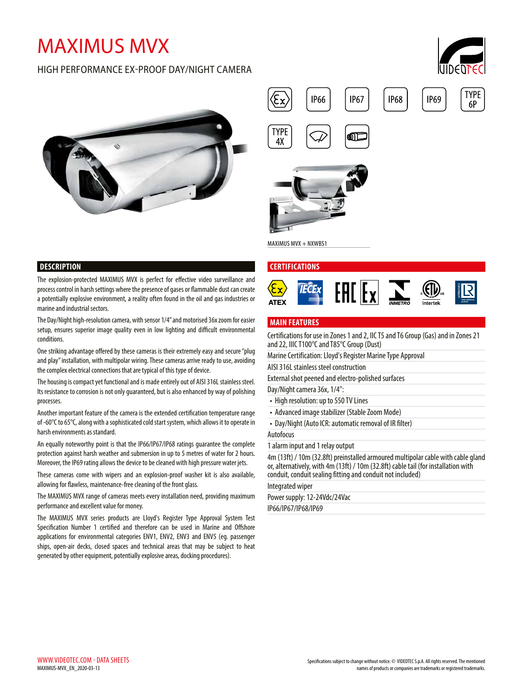# MAXIMUS MVX

# HIGH PERFORMANCE EX-PROOF DAY/NIGHT CAMERA







MAXIMUS MVX + NXWBS1

#### **CERTIFICATIONS**



The explosion-protected MAXIMUS MVX is perfect for effective video surveillance and process control in harsh settings where the presence of gases or flammable dust can create a potentially explosive environment, a reality often found in the oil and gas industries or marine and industrial sectors.

The Day/Night high-resolution camera, with sensor 1/4" and motorised 36x zoom for easier setup, ensures superior image quality even in low lighting and difficult environmental conditions.

One striking advantage offered by these cameras is their extremely easy and secure "plug and play" installation, with multipolar wiring. These cameras arrive ready to use, avoiding the complex electrical connections that are typical of this type of device.

The housing is compact yet functional and is made entirely out of AISI 316L stainless steel. Its resistance to corrosion is not only guaranteed, but is also enhanced by way of polishing processes.

Another important feature of the camera is the extended certification temperature range of -60°C to 65°C, along with a sophisticated cold start system, which allows it to operate in harsh environments as standard.

An equally noteworthy point is that the IP66/IP67/IP68 ratings guarantee the complete protection against harsh weather and submersion in up to 5 metres of water for 2 hours. Moreover, the IP69 rating allows the device to be cleaned with high pressure water jets.

These cameras come with wipers and an explosion-proof washer kit is also available, allowing for flawless, maintenance-free cleaning of the front glass.

The MAXIMUS MVX range of cameras meets every installation need, providing maximum performance and excellent value for money.

The MAXIMUS MVX series products are Lloyd's Register Type Approval System Test Specification Number 1 certified and therefore can be used in Marine and Offshore applications for environmental categories ENV1, ENV2, ENV3 and ENV5 (eg. passenger ships, open-air decks, closed spaces and technical areas that may be subject to heat generated by other equipment, potentially explosive areas, docking procedures).



### **MAIN FEATURES**

Certifications for use in Zones 1 and 2, IIC T5 and T6 Group (Gas) and in Zones 21 and 22, IIIC T100°C and T85°C Group (Dust)

Marine Certification: Lloyd's Register Marine Type Approval

AISI 316L stainless steel construction

External shot peened and electro-polished surfaces

Day/Night camera 36x, 1/4":

- High resolution: up to 550 TV Lines
- Advanced image stabilizer (Stable Zoom Mode)
- Day/Night (Auto ICR: automatic removal of IR filter)

Autofocus

1 alarm input and 1 relay output

4m (13ft) / 10m (32.8ft) preinstalled armoured multipolar cable with cable gland or, alternatively, with 4m (13ft) / 10m (32.8ft) cable tail (for installation with conduit, conduit sealing fitting and conduit not included)

Integrated wiper

Power supply: 12-24Vdc/24Vac IP66/IP67/IP68/IP69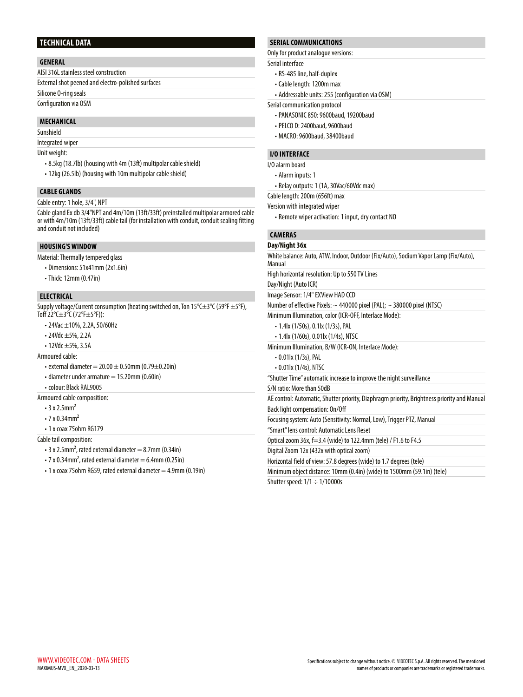#### **TECHNICAL DATA**

#### **GENERAL**

AISI 316L stainless steel construction

External shot peened and electro-polished surfaces

Silicone O-ring seals

Configuration via OSM

#### **MECHANICAL**

Sunshield

# Integrated wiper

Unit weight:

- 8.5kg (18.7lb) (housing with 4m (13ft) multipolar cable shield)
- 12kg (26.5lb) (housing with 10m multipolar cable shield)

### **CABLE GLANDS**

Cable entry: 1 hole, 3/4", NPT

Cable gland Ex db 3/4"NPT and 4m/10m (13ft/33ft) preinstalled multipolar armored cable or with 4m/10m (13ft/33ft) cable tail (for installation with conduit, conduit sealing fitting and conduit not included)

#### **HOUSING'S WINDOW**

Material: Thermally tempered glass

- Dimensions: 51x41mm (2x1.6in)
- Thick: 12mm (0.47in)

#### **ELECTRICAL**

Supply voltage/Current consumption (heating switched on, Ton 15°C±3°C (59°F ±5°F), Toff  $22^{\circ}$ C $\pm 3^{\circ}$ C (72 $^{\circ}$ F $\pm 5^{\circ}$ F)):

- 24Vac ±10%, 2.2A, 50/60Hz
- 24Vdc ±5%, 2.2A
- 12Vdc ±5%, 3.5A

Armoured cable:

- external diameter =  $20.00 \pm 0.50$ mm (0.79 $\pm$ 0.20in)
- $\cdot$  diameter under armature = 15.20mm (0.60in)
- colour: Black RAL9005

Armoured cable composition:

- $\cdot$  3 x 2.5mm<sup>2</sup>
- $\cdot$  7 x 0.34mm<sup>2</sup>
- 1 x coax 75ohm RG179

Cable tail composition:

- $\cdot$  3 x 2.5mm<sup>2</sup>, rated external diameter = 8.7mm (0.34in)
- $\cdot$  7 x 0.34mm<sup>2</sup>, rated external diameter = 6.4mm (0.25in)
- 1 x coax 75 ohm RG59, rated external diameter = 4.9mm (0.19in)

#### **SERIAL COMMUNICATIONS**

Only for product analogue versions:

Serial interface

- RS-485 line, half-duplex
- Cable length: 1200m max
- Addressable units: 255 (configuration via OSM)

Serial communication protocol

- PANASONIC 850: 9600baud, 19200baud
- PELCO D: 2400baud, 9600baud
- MACRO: 9600baud, 38400baud

#### **I/O INTERFACE**

I/O alarm board

- Alarm inputs: 1
- Relay outputs: 1 (1A, 30Vac/60Vdc max)

Cable length: 200m (656ft) max

Version with integrated wiper

• Remote wiper activation: 1 input, dry contact NO

#### **CAMERAS District 35x**

| Day/NIQNT 36X                                                                                 |
|-----------------------------------------------------------------------------------------------|
| White balance: Auto, ATW, Indoor, Outdoor (Fix/Auto), Sodium Vapor Lamp (Fix/Auto),<br>Manual |
| High horizontal resolution: Up to 550 TV Lines                                                |
| Day/Night (Auto ICR)                                                                          |
| Image Sensor: 1/4" EXView HAD CCD                                                             |
| Number of effective Pixels: $\sim$ 440000 pixel (PAL); $\sim$ 380000 pixel (NTSC)             |
| Minimum Illumination, color (ICR-OFF, Interlace Mode):                                        |
| • 1.4lx (1/50s), 0.1lx (1/3s), PAL                                                            |
| $\cdot$ 1.4lx (1/60s), 0.01lx (1/4s), NTSC                                                    |
| Minimum Illumination, B/W (ICR-ON, Interlace Mode):                                           |
| $\cdot$ 0.01lx (1/3s), PAL                                                                    |
| $\cdot$ 0.01lx (1/4s), NTSC                                                                   |
| "Shutter Time" automatic increase to improve the night surveillance                           |
| S/N ratio: More than 50dB                                                                     |
| AE control: Automatic, Shutter priority, Diaphragm priority, Brightness priority and Manual   |
| Back light compensation: On/Off                                                               |
| Focusing system: Auto (Sensitivity: Normal, Low), Trigger PTZ, Manual                         |
| "Smart" lens control: Automatic Lens Reset                                                    |
| Optical zoom 36x, f=3.4 (wide) to 122.4mm (tele) / F1.6 to F4.5                               |
| Digital Zoom 12x (432x with optical zoom)                                                     |
|                                                                                               |

Horizontal field of view: 57.8 degrees (wide) to 1.7 degrees (tele)

Minimum object distance: 10mm (0.4in) (wide) to 1500mm (59.1in) (tele)

Shutter speed:  $1/1 \div 1/10000s$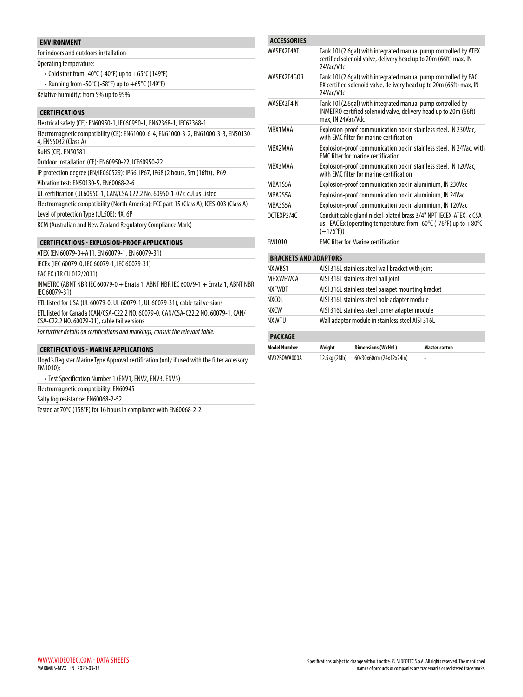### **ENVIRONMENT**

For indoors and outdoors installation Operating temperature:

- Cold start from -40°C (-40°F) up to +65°C (149°F)
- Running from -50°C (-58°F) up to +65°C (149°F)
- Relative humidity: from 5% up to 95%

#### **CERTIFICATIONS**

| Electrical safety (CE): EN60950-1, IEC60950-1, EN62368-1, IEC62368-1                                        |
|-------------------------------------------------------------------------------------------------------------|
| Electromagnetic compatibility (CE): EN61000-6-4, EN61000-3-2, EN61000-3-3, EN50130-<br>4, EN55032 (Class A) |
| RoHS (CE): EN50581                                                                                          |
| Outdoor installation (CE): EN60950-22, ICE60950-22                                                          |
| IP protection degree (EN/IEC60529): IP66, IP67, IP68 (2 hours, 5m (16ft)), IP69                             |
| Vibration test: EN50130-5, EN60068-2-6                                                                      |
| UL certification (UL60950-1, CAN/CSA C22.2 No. 60950-1-07): cULus Listed                                    |
| Electromagnetic compatibility (North America): FCC part 15 (Class A), ICES-003 (Class A)                    |
| Level of protection Type (UL50E): 4X, 6P                                                                    |
| RCM (Australian and New Zealand Regulatory Compliance Mark)                                                 |
| FUNLACIAN BRAAF ABBLICATIANG                                                                                |

#### **CERTIFICATIONS - EXPLOSION-PROOF APPLICATIONS**

ATEX (EN 60079-0+A11, EN 60079-1, EN 60079-31)

IECEx (IEC 60079-0, IEC 60079-1, IEC 60079-31)

EAC EX (TR CU 012/2011)

INMETRO (ABNT NBR IEC 60079-0 + Errata 1, ABNT NBR IEC 60079-1 + Errata 1, ABNT NBR IEC 60079-31)

ETL listed for USA (UL 60079-0, UL 60079-1, UL 60079-31), cable tail versions

ETL listed for Canada (CAN/CSA-C22.2 NO. 60079-0, CAN/CSA-C22.2 NO. 60079-1, CAN/ CSA-C22.2 NO. 60079-31), cable tail versions

*For further details on certifications and markings, consult the relevant table.*

#### **CERTIFICATIONS - MARINE APPLICATIONS**

Lloyd's Register Marine Type Approval certification (only if used with the filter accessory FM1010):

• Test Specification Number 1 (ENV1, ENV2, ENV3, ENV5)

Electromagnetic compatibility: EN60945

Salty fog resistance: EN60068-2-52

Tested at 70°C (158°F) for 16 hours in compliance with EN60068-2-2

|    | <b>ACCESSORIES</b> |                                                                                                                                                                                      |  |  |  |  |
|----|--------------------|--------------------------------------------------------------------------------------------------------------------------------------------------------------------------------------|--|--|--|--|
|    | WASFX2T4AT         | Tank 10I (2.6gal) with integrated manual pump controlled by ATEX<br>certified solenoid valve, delivery head up to 20m (66ft) max, IN<br>24Vac/Vdc                                    |  |  |  |  |
|    | WASEX2T4GOR        | Tank 10I (2.6gal) with integrated manual pump controlled by EAC<br>EX certified solenoid valve, delivery head up to 20m (66ft) max, IN<br>24Vac/Vdc                                  |  |  |  |  |
|    | WASEX2T4IN         | Tank 10I (2.6gal) with integrated manual pump controlled by<br>INMETRO certified solenoid valve, delivery head up to 20m (66ft)<br>max, IN 24Vac/Vdc                                 |  |  |  |  |
| )- | MBX1MAA            | Explosion-proof communication box in stainless steel, IN 230Vac,<br>with FMC filter for marine certification                                                                         |  |  |  |  |
|    | MBX2MAA            | Explosion-proof communication box in stainless steel, IN 24Vac, with<br><b>FMC</b> filter for marine certification                                                                   |  |  |  |  |
|    | MBX3MAA            | Explosion-proof communication box in stainless steel, IN 120Vac,<br>with EMC filter for marine certification                                                                         |  |  |  |  |
|    | MBA1S5A            | Explosion-proof communication box in aluminium, IN 230Vac                                                                                                                            |  |  |  |  |
|    | MBA2S5A            | Explosion-proof communication box in aluminium, IN 24Vac                                                                                                                             |  |  |  |  |
|    | MBA3S5A            | Explosion-proof communication box in aluminium, IN 120Vac                                                                                                                            |  |  |  |  |
|    | OCTEXP3/4C         | Conduit cable gland nickel-plated brass 3/4" NPT IECEX-ATEX- c CSA<br>us - EAC Ex (operating temperature: from -60 $\degree$ C (-76 $\degree$ F) up to $+80\degree$ C<br>$(+176°F))$ |  |  |  |  |
|    | FM1010             | <b>EMC filter for Marine certification</b>                                                                                                                                           |  |  |  |  |
|    |                    | <b>BRACKETS AND ADAPTORS</b>                                                                                                                                                         |  |  |  |  |
|    | NXWRS1             | AISI 316L stainless steel wall bracket with joint                                                                                                                                    |  |  |  |  |
| BR | <b>MHXWFWCA</b>    | AISI 316L stainless steel ball joint                                                                                                                                                 |  |  |  |  |
|    | <b>NXFWRT</b>      | AISI 316L stainless steel parapet mounting bracket                                                                                                                                   |  |  |  |  |
|    | <b>NXCOL</b>       | AISI 316L stainless steel pole adapter module                                                                                                                                        |  |  |  |  |
|    | <b>NXCW</b>        | AISI 316L stainless steel corner adapter module                                                                                                                                      |  |  |  |  |
|    | NXWTU              | Wall adaptor module in stainless steel AISI 316L                                                                                                                                     |  |  |  |  |
|    | <b>PACKAGE</b>     |                                                                                                                                                                                      |  |  |  |  |
|    |                    |                                                                                                                                                                                      |  |  |  |  |

| Model Number | Weight        | <b>Dimensions (WxHxL)</b> | <b>Master carton</b> |
|--------------|---------------|---------------------------|----------------------|
| MVX2BOWA000A | 12.5kg (28lb) | 60x30x60cm (24x12x24in)   | -                    |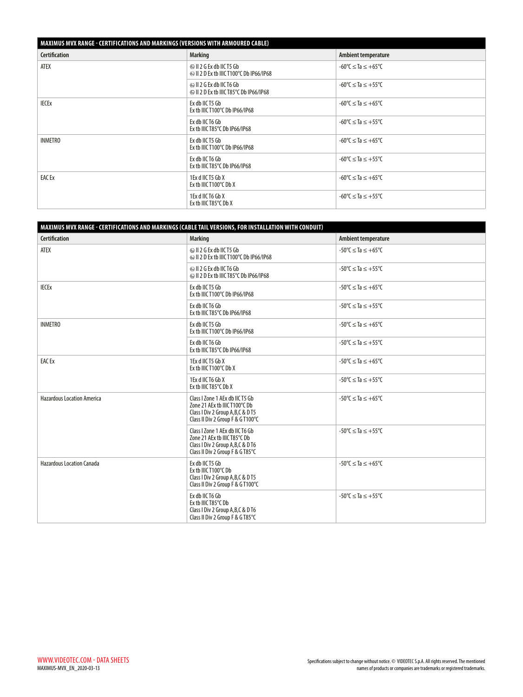# **MAXIMUS MVX RANGE - CERTIFICATIONS AND MARKINGS (VERSIONS WITH ARMOURED CABLE)**

| , WIAAIMUJ MIYA NANJE    CERTIFICATIONJ AND MARRINJJ (YERJIONJ WITH ARMOURED CADEE)<br><b>Certification</b> | <b>Marking</b>                                                                   | Ambient temperature                            |
|-------------------------------------------------------------------------------------------------------------|----------------------------------------------------------------------------------|------------------------------------------------|
| ATEX                                                                                                        | $\circledcirc$ II 2 G Ex db IIC T5 Gb<br>© II 2 D Ex tb IIIC T100°C Db IP66/IP68 | $-60^{\circ}$ C $\leq$ Ta $\leq +65^{\circ}$ C |
|                                                                                                             | $\circledcirc$ II 2 G Ex db IIC T6 Gb<br>I 2 D Ex tb IIIC T85°C Db IP66/IP68     | $-60^{\circ}$ C $<$ Ta $< +55^{\circ}$ C       |
| <b>IECE</b> x                                                                                               | Ex db IIC T5 Gb<br>Ex tb IIIC T100 $^{\circ}$ C Db IP66/IP68                     | $-60^{\circ}$ C $\leq$ Ta $\leq +65^{\circ}$ C |
|                                                                                                             | Ex db IIC T6 Gb<br>Ex tb IIIC T85°C Db IP66/IP68                                 | $-60^{\circ}$ C $\leq$ Ta $\leq +55^{\circ}$ C |
| <b>INMETRO</b>                                                                                              | Ex db IIC T5 Gb<br>Ex tb IIIC T100°C Db IP66/IP68                                | $-60^{\circ}$ C $\leq$ Ta $\leq +65^{\circ}$ C |
|                                                                                                             | Ex db IIC T6 Gb<br>Ex tb IIIC T85°C Db IP66/IP68                                 | $-60^{\circ}$ C $\leq$ Ta $\leq +55^{\circ}$ C |
| EAC Ex                                                                                                      | 1 Ex d IIC T5 Gb X<br>Ex tb IIIC T100 $\degree$ C Db X                           | $-60^{\circ}$ C $<$ Ta $< +65^{\circ}$ C       |
|                                                                                                             | 1Ex d IIC T6 Gb X<br>Ex tb IIIC T85 $\degree$ C Db X                             | $-60^{\circ}$ C $<$ Ta $< +55^{\circ}$ C       |

| MAXIMUS MVX RANGE - CERTIFICATIONS AND MARKINGS (CABLE TAIL VERSIONS, FOR INSTALLATION WITH CONDUIT) |                                                                                                                                           |                                                |  |  |
|------------------------------------------------------------------------------------------------------|-------------------------------------------------------------------------------------------------------------------------------------------|------------------------------------------------|--|--|
| <b>Certification</b>                                                                                 | <b>Marking</b>                                                                                                                            | Ambient temperature                            |  |  |
| ATEX                                                                                                 | $\circledcirc$ II 2 G Ex db IIC T5 Gb<br>@ II 2 D Ex tb IIIC T100°C Db IP66/IP68                                                          | $-50^{\circ}$ C $\leq$ Ta $\leq +65^{\circ}$ C |  |  |
|                                                                                                      | $\circ$ II 2 G Ex db IIC T6 Gb<br>I 2 D Ex tb IIIC T85°C Db IP66/IP68                                                                     | $-50^{\circ}$ C $\leq$ Ta $\leq +55^{\circ}$ C |  |  |
| <b>IECE</b> <sub>x</sub>                                                                             | Ex db IIC T5 Gb<br>Ex tb IIIC T100°C Db IP66/IP68                                                                                         | $-50^{\circ}$ C $\leq$ Ta $\leq +65^{\circ}$ C |  |  |
|                                                                                                      | Ex db IIC T6 Gb<br>Ex tb IIIC T85°C Db IP66/IP68                                                                                          | $-50^{\circ}$ C $\leq$ Ta $\leq +55^{\circ}$ C |  |  |
| <b>INMETRO</b>                                                                                       | Ex db IIC T5 Gb<br>Ex tb IIIC T100°C Db IP66/IP68                                                                                         | $-50^{\circ}$ C $\leq$ Ta $\leq +65^{\circ}$ C |  |  |
|                                                                                                      | Ex db IIC T6 Gb<br>Ex tb IIIC T85°C Db IP66/IP68                                                                                          | $-50^{\circ}$ C $\leq$ Ta $\leq +55^{\circ}$ C |  |  |
| <b>EAC Ex</b>                                                                                        | 1Ex d IIC T5 Gb X<br>Ex tb IIIC T100°C Db X                                                                                               | $-50^{\circ}$ C $\leq$ Ta $\leq +65^{\circ}$ C |  |  |
|                                                                                                      | 1Ex d IIC T6 Gb X<br>Ex tb IIIC T85°C Db X                                                                                                | $-50^{\circ}$ C $\leq$ Ta $\leq +55^{\circ}$ C |  |  |
| <b>Hazardous Location America</b>                                                                    | Class I Zone 1 AEx db IICT5 Gb<br>Zone 21 AEx tb IIICT100°C Db<br>Class I Div 2 Group A, B, C & D T5<br>Class II Div 2 Group F & GT100°C  | $-50^{\circ}$ C $\leq$ Ta $\leq +65^{\circ}$ C |  |  |
|                                                                                                      | Class I Zone 1 AEx db IIC T6 Gb<br>Zone 21 AEx tb IIIC T85°C Db<br>Class I Div 2 Group A, B, C & D T6<br>Class II Div 2 Group F & G T85°C | $-50^{\circ}$ C $\leq$ Ta $\leq +55^{\circ}$ C |  |  |
| <b>Hazardous Location Canada</b>                                                                     | Ex db IIC T5 Gb<br>Ex tb IIIC T100°C Db<br>Class I Div 2 Group A, B, C & D T5<br>Class II Div 2 Group F & GT100°C                         | $-50^{\circ}$ C $\leq$ Ta $\leq +65^{\circ}$ C |  |  |
|                                                                                                      | Ex db IIC T6 Gb<br>Ex tb IIIC T85℃ Db<br>Class I Div 2 Group A, B, C & D T6<br>Class II Div 2 Group F & G T85°C                           | $-50^{\circ}$ C $\leq$ Ta $\leq +55^{\circ}$ C |  |  |